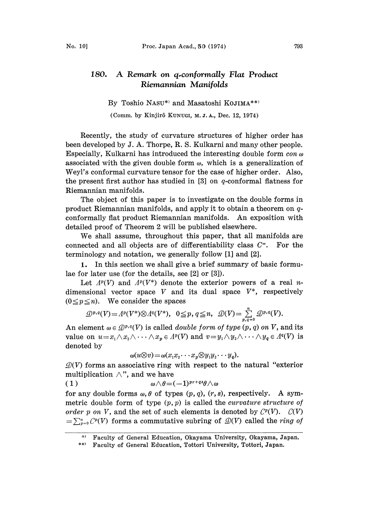## 180. A Remark on q.conformally Flat Product Riemannian Manifolds

By Toshio NASU\*) and Masatoshi KOJIMA\*\*)

(Comm. by Kinjirô KUNUGI, M.J.A., Dec. 12, 1974)

Recently, the study of curvature structures of higher order has been developed by J. A. Thorpe, R. S. Kulkarni and many other people. Especially, Kulkarni has introduced the interesting double form  $\cos \omega$ associated with the given double form  $\omega$ , which is a generalization of Weyl's conformal curvature tensor for the case of higher order. Also, the present first author has studied in  $[3]$  on q-conformal flatness for Riemannian manifolds.

The object of this paper is to investigate on the double forms in product Riemannian manifolds, and apply it to obtain a theorem on qconformally flat product Riemannian manifolds. An exposition with detailed proof of Theorem 2 will be published elsewhere.

We shall assume, throughout this paper, that all manifolds are connected and all objects are of differentiability class  $C^*$ . For the terminology and notation, we generally follow  $[1]$  and  $[2]$ .

1. In this section we shall give a brief summary of basic formulae for later use (for the details, see [2] or [3]).

Let  $\Lambda^p(V)$  and  $\Lambda^p(V^*)$  denote the exterior powers of a real ndimensional vector space V and its dual space  $V^*$ , respectively  $(0 \le p \le n)$ . We consider the spaces

$$
\mathcal{D}^{p,q}(V)=\Lambda^p(V^*)\otimes \Lambda^q(V^*),\quad 0\leq p,\ q\leq n,\quad \mathcal{D}(V)=\sum_{p,q=0}^n \mathcal{D}^{p,q}(V).
$$

An element  $\omega \in \mathcal{Q}^{p,q}(V)$  is called *double form of type*  $(p, q)$  on V, and its value on  $u=x_1\wedge x_2\wedge \cdots \wedge x_p\in \Lambda^p(V)$  and  $v=y_1\wedge y_2\wedge \cdots \wedge y_q\in \Lambda^q(V)$  is denoted by

 $\omega(u\otimes v) = \omega(x_1x_2 \cdots x_p\otimes y_1y_2 \cdots y_q).$ 

 $\mathcal{Q}(V)$  forms an associative ring with respect to the natural "exterior" multiplication  $\wedge$ ", and we have

( <sup>1</sup> ) wAt-- (-- 1)+qtA

for any double forms  $\omega$ ,  $\theta$  of types  $(p, q)$ ,  $(r, s)$ , respectively. A symmetric double form of type  $(p, p)$  is called the *curvature structure of* order p on V, and the set of such elements is denoted by  $\mathcal{C}^p(V)$ .  $\mathcal{C}(V)$  $=\sum_{p=0}^n C^p(V)$  forms a commutative subring of  $\mathcal{D}(V)$  called the *ring of* 

<sup>\*)</sup> Faculty of General Education, Okayama University, Okayama, Japan.

<sup>\*\*)</sup> Faculty of General Education, Tottori University, Tottori, Japan.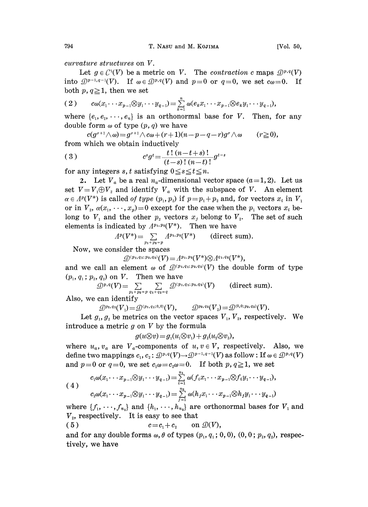curvature structures on V.

Let  $g \in C^1(V)$  be a metric on V. The *contraction c* maps  $\mathcal{D}^{p,q}(V)$ into  $\mathcal{D}^{p-1,q-1}(V)$ . If  $\omega \in \mathcal{D}^{p,q}(V)$  and  $p=0$  or  $q=0$ , we set  $c\omega=0$ . If both  $p, q \geq 1$ , then we set

$$
(2) \qquad c\omega(x_1\cdots x_{p-1}\otimes y_1\cdots y_{q-1})=\sum_{k=1}^n\omega(e_kx_1\cdots x_{p-1}\otimes e_ky_1\cdots y_{q-1}),
$$

where  $\{e_1, e_2, \dots, e_n\}$  is an orthonormal base for V. Then, for any double form  $\omega$  of type  $(p, q)$  we have

 $c(g^{r+1}\wedge\omega)=g^{r+1}\wedge c\omega+(r+1)(n-p-q-r)g^r\wedge\omega \qquad (r\geq 0),$ from which we obtain inductively

(3) 
$$
c^{s}g^{t} = \frac{t!(n-t+s)!}{(t-s)!(n-t)!}g^{t-s}
$$

for any integers s, t satisfying  $0 \le s \le t \le n$ .

2. Let  $V_a$  be a real  $n_a$ -dimensional vector space  $(a=1, 2)$ . Let us set  $V=V_1\oplus V_2$  and identify  $V_a$  with the subspace of V. An element  $\alpha \in A^p(V^*)$  is called of type  $(p_1, p_2)$  if  $p=p_1+p_2$  and, for vectors  $x_i$  in  $V_1$ or in  $V_2$ ,  $\alpha(x_1, \dots, x_n) = 0$  except for the case when the  $p_1$  vectors  $x_i$  belong to  $V_1$  and the other  $p_2$  vectors  $x_j$  belong to  $V_2$ . The set of such elements is indicated by  $A^{p_1,p_2}(V^*)$ . Then we have

$$
\Lambda^{p}(V^*)=\sum_{p_1+p_2=p}\Lambda^{p_1,p_2}(V^*)
$$
 (direct sum).

Now, we consider the spaces

$$
\mathcal{D}^{\scriptscriptstyle{(p_1, q_1; \, p_2, q_2)}}(V) \!=\! \varLambda^{p_1, \, p_2}(V^*) \!\otimes\! \varLambda^{q_1, \, q_2}(V^*),
$$

and we call an element  $\omega$  of  $\mathcal{D}^{(p_1,q_1;p_2,q_2)}(V)$  the double form of type

$$
(p_1, q_1; p_2, q_2) \text{ on } V. \quad \text{Then we have} \\ \mathcal{D}^{p,q}(V) = \sum_{p_1 + p_2 = p} \sum_{q_1 + q_2 = q} \mathcal{D}^{(p_1, q_1; p_2, q_2)}(V) \qquad \text{(direct sum)}.
$$

Also, we can identify

 $\mathcal{D}^{p_1,q_1}(V) = \mathcal{D}^{(p_1,q_1;0,0)}(V), \qquad \mathcal{D}^{p_2,q_2}(V) = \mathcal{D}^{(0,0;p_2,q_2)}(V).$ 

Let  $g_1, g_2$  be metrics on the vector spaces  $V_1, V_2$ , respectively. We introduce a metric  $g$  on  $V$  by the formula

$$
g(u\otimes v)=g_1(u_1\otimes v_1)+g_2(u_2\otimes v_2),
$$

where  $u_a, v_a$  are  $V_a$ -components of  $u, v \in V$ , respectively. Also, we define two mappings  $c_1, c_2: \mathcal{D}^{p,q}(V) \to \mathcal{D}^{p-1,q-1}(V)$  as follow : If  $\omega \in \mathcal{D}^{p,q}(V)$ and  $p=0$  or  $q=0$ , we set  $c_1\omega=c_2\omega=0$ . If both  $p, q\geq 1$ , we set

$$
(4) \quad c_1 \omega(x_1 \cdots x_{p-1} \otimes y_1 \cdots y_{q-1}) = \sum_{i=1}^{n_1} \omega(f_i x_1 \cdots x_{p-1} \otimes f_i y_1 \cdots y_{q-1}),
$$
  

$$
c_2 \omega(x_1 \cdots x_{p-1} \otimes y_1 \cdots y_{q-1}) = \sum_{i=1}^{n_2} \omega(h_j x_1 \cdots x_{p-1} \otimes h_j y_1 \cdots y_{q-1})
$$

where  $\{f_1, \dots, f_{n_1}\}\$  and  $\{h_1, \dots, h_{n_2}\}\$  are orthonormal bases for  $V_1$  and  $V<sub>2</sub>$ , respectively. It is easy to see that

$$
(5) \t c=c_1+c_2 \t on \mathcal{D}(V),
$$

and for any double forms  $\omega$ ,  $\theta$  of types  $(p_1, q_1; 0, 0)$ ,  $(0, 0; p_2, q_2)$ , respectively, we have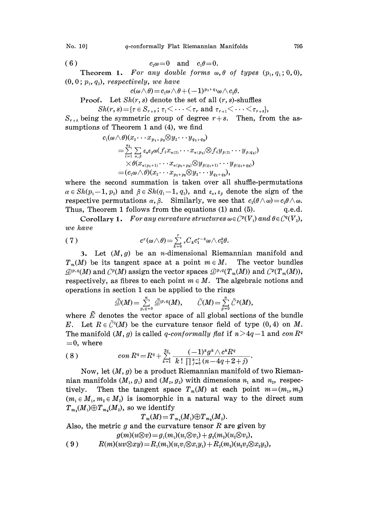$$
(6) \t\t\t c_2\omega=0 \t\t\tand \t\t c_1\theta=0.
$$

Theorem 1. For any double forms  $\omega$ ,  $\theta$  of types  $(p_1, q_1; 0, 0)$ ,  $(0, 0; p_{\scriptscriptstyle 2}, q_{\scriptscriptstyle 2})$ , respectively, we have

$$
x\circ\epsilon\cdot y,\ w\in\mathit{have}\\c(\omega\wedge\theta)=c_1\omega\wedge\theta+(-1)^{p_1+q_1}\omega\wedge c_2\theta.
$$

**Proof.** Let  $Sh(r, s)$  denote the set of all  $(r, s)$ -shuffles

$$
Sh(r,s) = \{\tau \in S_{r+s} \, ; \, \tau_1 \leq \cdots \leq \tau_r \, \text{and} \, \tau_{r+1} \leq \cdots \leq \tau_{r+s}\},
$$

 $S_{r+s}$  being the symmetric group of degree  $r+s$ . Then, from the assumptions of Theorem <sup>1</sup> and (4), we find

$$
c_1(\omega\wedge\theta)(x_2\cdots x_{p_1+p_2}\otimes y_2\cdots y_{q_1+q_2})\\=\sum\limits_{i=1}^{n_1}\sum\limits_{\alpha,\beta}\varepsilon_{\alpha}\varepsilon_{\beta}\omega(f_ix_{\alpha(2)}\cdots x_{\alpha(p_1)}\otimes f_iy_{\beta(2)}\cdots y_{\beta(q_1)})\\ \times\theta(x_{\alpha(p_1+1)}\cdots x_{\alpha(p_1+p_2)}\otimes y_{\beta(q_1+1)}\cdots y_{\beta(q_1+q_2)})\\=(c_1\omega\wedge\theta)(x_2\cdots x_{p_1+p_2}\otimes y_2\cdots y_{q_1+q_2}),
$$

where the second summation is taken over all shuffle-permutations  $\alpha \in Sh(p_1-1, p_2)$  and  $\beta \in Sh(q_1-1, q_2)$ , and  $\varepsilon_{\alpha}, \varepsilon_{\beta}$  denote the sign of the respective permutations  $\alpha$ ,  $\beta$ . Similarly, we see that  $c_2(\theta \wedge \omega) = c_2\theta \wedge \omega$ . Thus, Theorem 1 follows from the equations  $(1)$  and  $(5)$ . q.e.d.

Corollary 1. For any curvature structures  $\omega \in C^p(V_1)$  and  $\theta \in C^q(V_2)$ , we have

(7) 
$$
c^r(\omega \wedge \theta) = \sum_{k=0}^r {}_{r}C_k c_1^{r-k} \omega \wedge c_2^k \theta.
$$

3. Let  $(M, g)$  be an *n*-dimensional Riemannian manifold and  $T_m(M)$  be its tangent space at a point  $m \in M$ . The vector bundles  $\mathcal{D}^{p,q}(M)$  and  $\mathcal{C}^p(M)$  assign the vector spaces  $\mathcal{D}^{p,q}(T_m(M))$  and  $\mathcal{C}^p(T_m(M)),$ respectively, as fibres to each point  $m \in M$ . The algebraic notions and operations in section 1 can be applied to the rings

$$
\widetilde{\mathcal{D}}(M) = \sum_{p,q=0}^n \widetilde{\mathcal{D}}^{p,q}(M), \qquad \widetilde{\mathcal{C}}(M) = \sum_{p=0}^n \widetilde{\mathcal{C}}^p(M),
$$

where  $\tilde{E}$  denotes the vector space of all global sections of the bundle E. Let  $R \in \tilde{C}^2(M)$  be the curvature tensor field of type  $(0, 4)$  on M. The manifold  $(M, g)$  is called q-conformally flat if  $n>4q-1$  and con  $R^q$  $=0$ , where

(\_l)gAcR <sup>8</sup> ) con <sup>R</sup> <sup>R</sup> <sup>+</sup> <sup>k</sup> :(n--4q+2+]) 

Now, let  $(M, g)$  be a product Riemannian manifold of two Riemannian manifolds  $(M_1, g_1)$  and  $(M_2, g_2)$  with dimensions  $n_1$  and  $n_2$ , respectively. Then the tangent space  $T_m(M)$  at each point  $m=(m_1, m_2)$  $(m_1 \in M_1, m_2 \in M_2)$  is isomorphic in a natural way to the direct sum  $T_{m_1}(M_1) \oplus T_{m_2}(M_2)$ , so we identify

$$
T_m(M) = T_{m_1}(M_1) \oplus T_{m_2}(M_2).
$$

Also, the metric  $g$  and the curvature tensor  $R$  are given by

$$
g(m)(u\otimes v)=g_1(m_1)(u_1\otimes v_1)+g_2(m_2)(u_2\otimes v_2),
$$

( 9 )  $R(m)(uv \otimes xy) = R_1(m_1)(u_1v_1 \otimes x_1y_1) + R_2(m_2)(u_2v_2 \otimes x_2y_2),$